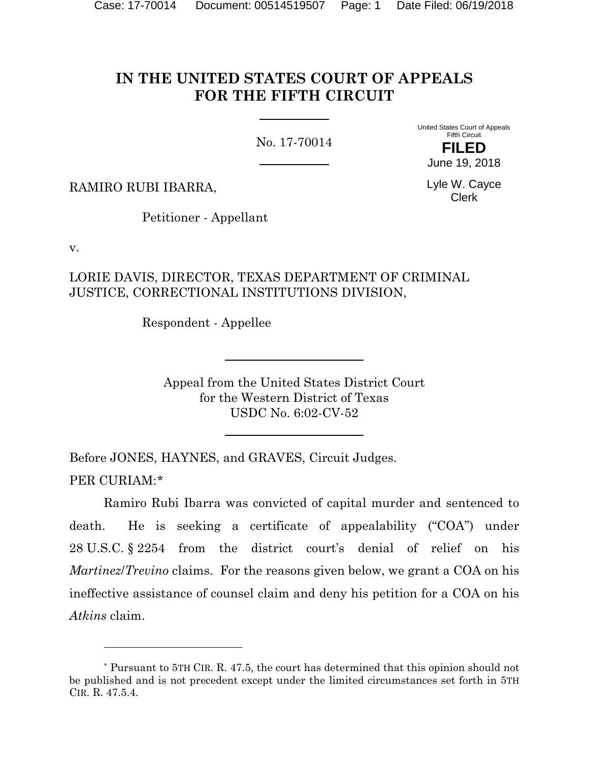# **IN THE UNITED STATES COURT OF APPEALS FOR THE FIFTH CIRCUIT**

No. 17-70014

United States Court of Appeals Fifth Circuit **FILED**

June 19, 2018

Lyle W. Cayce Clerk

RAMIRO RUBI IBARRA,

Petitioner - Appellant

v.

l

LORIE DAVIS, DIRECTOR, TEXAS DEPARTMENT OF CRIMINAL JUSTICE, CORRECTIONAL INSTITUTIONS DIVISION,

Respondent - Appellee

Appeal from the United States District Court for the Western District of Texas USDC No. 6:02-CV-52

Before JONES, HAYNES, and GRAVES, Circuit Judges. PER CURIAM:[\\*](#page-0-0)

Ramiro Rubi Ibarra was convicted of capital murder and sentenced to death. He is seeking a certificate of appealability ("COA") under 28 U.S.C. § 2254 from the district court's denial of relief on his *Martinez*/*Trevino* claims. For the reasons given below, we grant a COA on his ineffective assistance of counsel claim and deny his petition for a COA on his *Atkins* claim.

<span id="page-0-0"></span><sup>\*</sup> Pursuant to 5TH CIR. R. 47.5, the court has determined that this opinion should not be published and is not precedent except under the limited circumstances set forth in 5TH CIR. R. 47.5.4.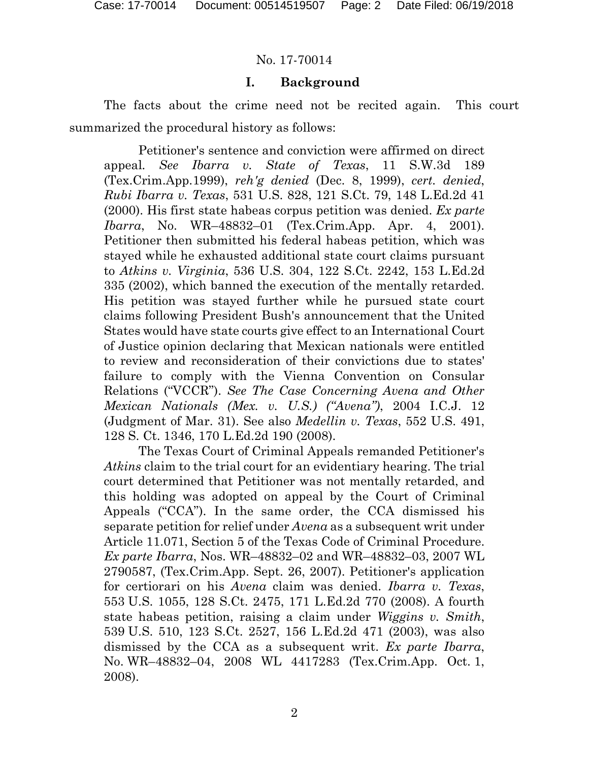### **I. Background**

The facts about the crime need not be recited again. This court summarized the procedural history as follows:

Petitioner's sentence and conviction were affirmed on direct appeal*. See Ibarra v. State of Texas*, 11 S.W.3d 189 (Tex.Crim.App.1999), *reh'g denied* (Dec. 8, 1999), *cert. denied*, *Rubi Ibarra v. Texas*, 531 U.S. 828, 121 S.Ct. 79, 148 L.Ed.2d 41 (2000). His first state habeas corpus petition was denied. *Ex parte Ibarra*, No. WR–48832–01 (Tex.Crim.App. Apr. 4, 2001). Petitioner then submitted his federal habeas petition, which was stayed while he exhausted additional state court claims pursuant to *Atkins v. Virginia*, 536 U.S. 304, 122 S.Ct. 2242, 153 L.Ed.2d 335 (2002), which banned the execution of the mentally retarded. His petition was stayed further while he pursued state court claims following President Bush's announcement that the United States would have state courts give effect to an International Court of Justice opinion declaring that Mexican nationals were entitled to review and reconsideration of their convictions due to states' failure to comply with the Vienna Convention on Consular Relations ("VCCR"). *See The Case Concerning Avena and Other Mexican Nationals (Mex. v. U.S.) ("Avena")*, 2004 I.C.J. 12 (Judgment of Mar. 31). See also *Medellin v. Texas*, 552 U.S. 491, 128 S. Ct. 1346, 170 L.Ed.2d 190 (2008).

The Texas Court of Criminal Appeals remanded Petitioner's *Atkins* claim to the trial court for an evidentiary hearing. The trial court determined that Petitioner was not mentally retarded, and this holding was adopted on appeal by the Court of Criminal Appeals ("CCA"). In the same order, the CCA dismissed his separate petition for relief under *Avena* as a subsequent writ under Article 11.071, Section 5 of the Texas Code of Criminal Procedure. *Ex parte Ibarra*, Nos. WR–48832–02 and WR–48832–03, 2007 WL 2790587, (Tex.Crim.App. Sept. 26, 2007). Petitioner's application for certiorari on his *Avena* claim was denied. *Ibarra v. Texas*, 553 U.S. 1055, 128 S.Ct. 2475, 171 L.Ed.2d 770 (2008). A fourth state habeas petition, raising a claim under *Wiggins v. Smith*, 539 U.S. 510, 123 S.Ct. 2527, 156 L.Ed.2d 471 (2003), was also dismissed by the CCA as a subsequent writ. *Ex parte Ibarra*, No. WR–48832–04, 2008 WL 4417283 (Tex.Crim.App. Oct. 1, 2008).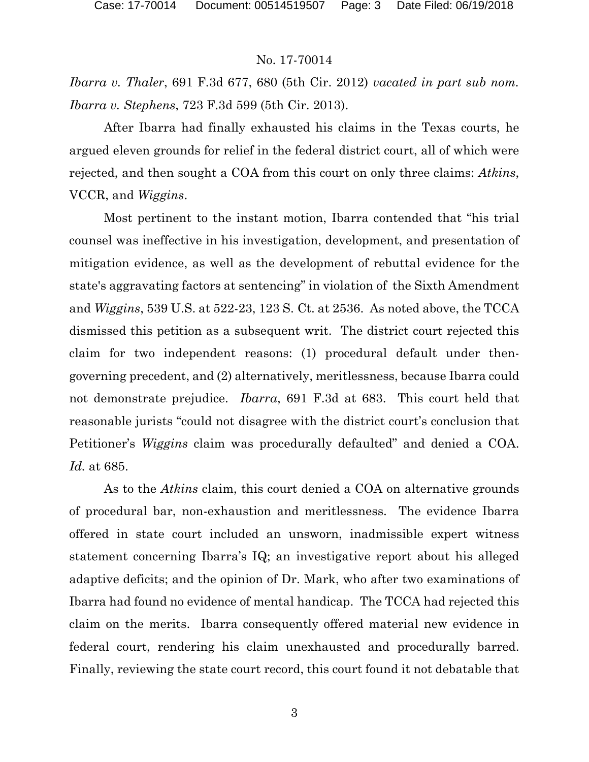*Ibarra v. Thaler*, 691 F.3d 677, 680 (5th Cir. 2012) *vacated in part sub nom. Ibarra v. Stephens*, 723 F.3d 599 (5th Cir. 2013).

After Ibarra had finally exhausted his claims in the Texas courts, he argued eleven grounds for relief in the federal district court, all of which were rejected, and then sought a COA from this court on only three claims: *Atkins*, VCCR, and *Wiggins*.

Most pertinent to the instant motion, Ibarra contended that "his trial counsel was ineffective in his investigation, development, and presentation of mitigation evidence, as well as the development of rebuttal evidence for the state's aggravating factors at sentencing" in violation of the Sixth Amendment and *Wiggins*, 539 U.S. at 522-23, 123 S. Ct. at 2536. As noted above, the TCCA dismissed this petition as a subsequent writ. The district court rejected this claim for two independent reasons: (1) procedural default under thengoverning precedent, and (2) alternatively, meritlessness, because Ibarra could not demonstrate prejudice. *Ibarra*, 691 F.3d at 683. This court held that reasonable jurists "could not disagree with the district court's conclusion that Petitioner's *Wiggins* claim was procedurally defaulted" and denied a COA. *Id.* at 685.

As to the *Atkins* claim, this court denied a COA on alternative grounds of procedural bar, non-exhaustion and meritlessness. The evidence Ibarra offered in state court included an unsworn, inadmissible expert witness statement concerning Ibarra's IQ; an investigative report about his alleged adaptive deficits; and the opinion of Dr. Mark, who after two examinations of Ibarra had found no evidence of mental handicap. The TCCA had rejected this claim on the merits. Ibarra consequently offered material new evidence in federal court, rendering his claim unexhausted and procedurally barred. Finally, reviewing the state court record, this court found it not debatable that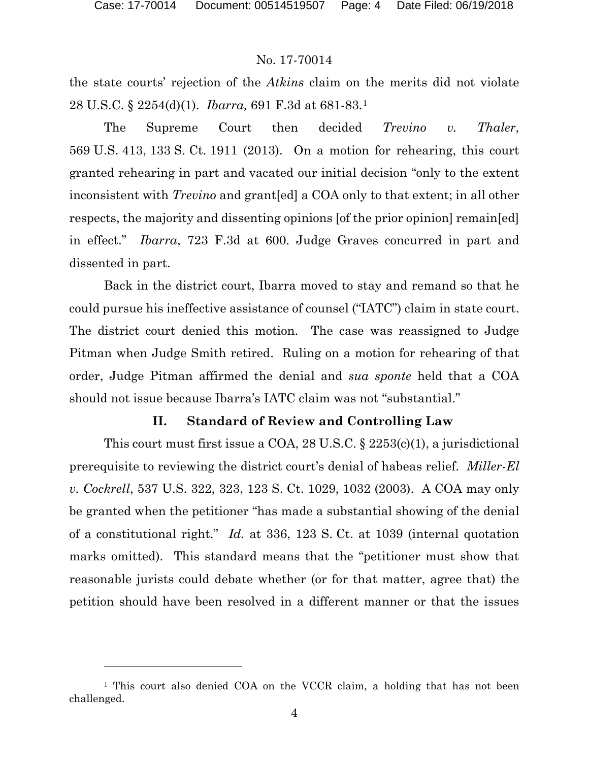l

### No. 17-70014

the state courts' rejection of the *Atkins* claim on the merits did not violate 28 U.S.C. § 2254(d)(1). *Ibarra,* 691 F.3d at 681-83.[1](#page-3-0)

The Supreme Court then decided *Trevino v. Thaler*, 569 U.S. 413, 133 S. Ct. 1911 (2013). On a motion for rehearing, this court granted rehearing in part and vacated our initial decision "only to the extent inconsistent with *Trevino* and grant[ed] a COA only to that extent; in all other respects, the majority and dissenting opinions [of the prior opinion] remain[ed] in effect." *Ibarra*, 723 F.3d at 600. Judge Graves concurred in part and dissented in part.

Back in the district court, Ibarra moved to stay and remand so that he could pursue his ineffective assistance of counsel ("IATC") claim in state court. The district court denied this motion. The case was reassigned to Judge Pitman when Judge Smith retired. Ruling on a motion for rehearing of that order, Judge Pitman affirmed the denial and *sua sponte* held that a COA should not issue because Ibarra's IATC claim was not "substantial."

### **II. Standard of Review and Controlling Law**

This court must first issue a COA, 28 U.S.C.  $\S$  2253(c)(1), a jurisdictional prerequisite to reviewing the district court's denial of habeas relief. *Miller-El v. Cockrell*, 537 U.S. 322, 323, 123 S. Ct. 1029, 1032 (2003). A COA may only be granted when the petitioner "has made a substantial showing of the denial of a constitutional right." *Id.* at 336, 123 S. Ct. at 1039 (internal quotation marks omitted). This standard means that the "petitioner must show that reasonable jurists could debate whether (or for that matter, agree that) the petition should have been resolved in a different manner or that the issues

<span id="page-3-0"></span><sup>&</sup>lt;sup>1</sup> This court also denied COA on the VCCR claim, a holding that has not been challenged.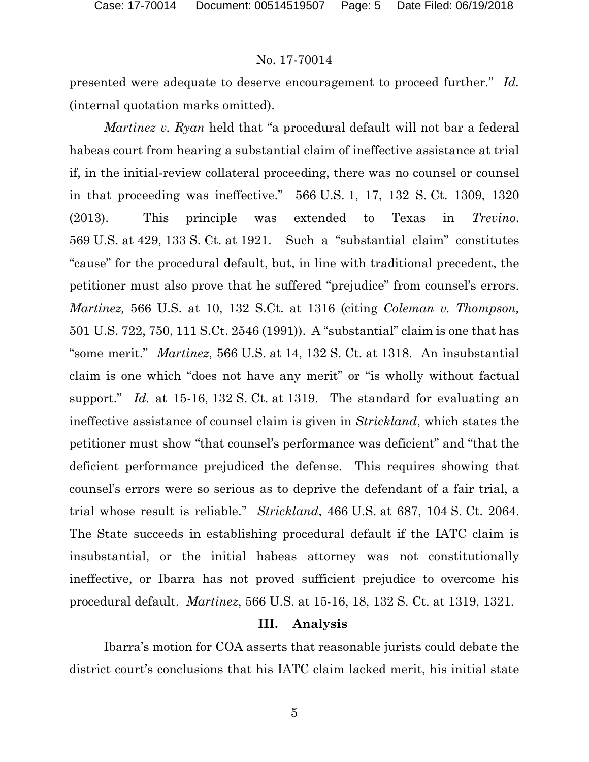presented were adequate to deserve encouragement to proceed further." *Id.* (internal quotation marks omitted).

*Martinez v. Ryan* held that "a procedural default will not bar a federal habeas court from hearing a substantial claim of ineffective assistance at trial if, in the initial-review collateral proceeding, there was no counsel or counsel in that proceeding was ineffective." 566 U.S. 1, 17, 132 S. Ct. 1309, 1320 (2013). This principle was extended to Texas in *Trevino*. 569 U.S. at 429, 133 S. Ct. at 1921. Such a "substantial claim" constitutes "cause" for the procedural default, but, in line with traditional precedent, the petitioner must also prove that he suffered "prejudice" from counsel's errors. *Martinez,* 566 U.S. at 10, 132 S.Ct. at 1316 (citing *Coleman v. Thompson,*  501 U.S. 722, 750, 111 S.Ct. 2546 (1991)). A "substantial" claim is one that has "some merit." *Martinez*, 566 U.S. at 14, 132 S. Ct. at 1318. An insubstantial claim is one which "does not have any merit" or "is wholly without factual support." *Id.* at 15-16, 132 S. Ct. at 1319. The standard for evaluating an ineffective assistance of counsel claim is given in *Strickland*, which states the petitioner must show "that counsel's performance was deficient" and "that the deficient performance prejudiced the defense. This requires showing that counsel's errors were so serious as to deprive the defendant of a fair trial, a trial whose result is reliable." *Strickland*, 466 U.S. at 687, 104 S. Ct. 2064. The State succeeds in establishing procedural default if the IATC claim is insubstantial, or the initial habeas attorney was not constitutionally ineffective, or Ibarra has not proved sufficient prejudice to overcome his procedural default. *Martinez*, 566 U.S. at 15-16, 18, 132 S. Ct. at 1319, 1321.

#### **III. Analysis**

Ibarra's motion for COA asserts that reasonable jurists could debate the district court's conclusions that his IATC claim lacked merit, his initial state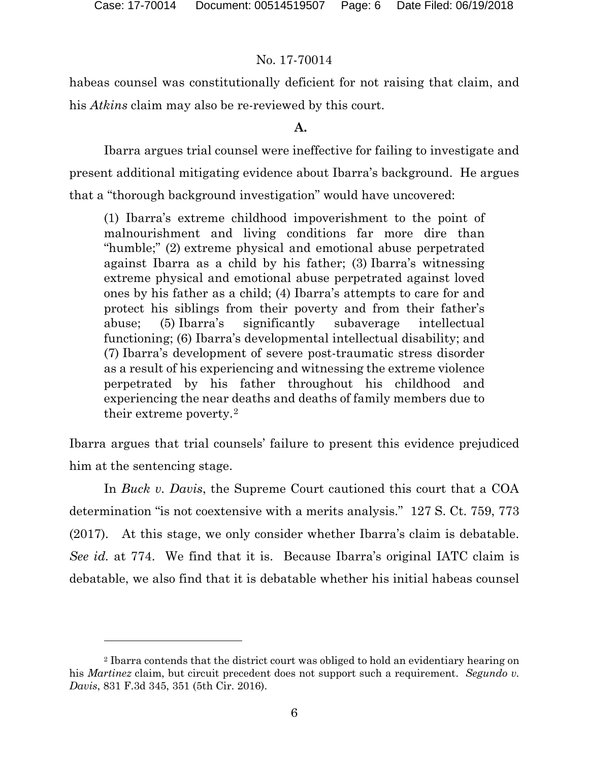### No. 17-70014

habeas counsel was constitutionally deficient for not raising that claim, and his *Atkins* claim may also be re-reviewed by this court.

### **A.**

Ibarra argues trial counsel were ineffective for failing to investigate and present additional mitigating evidence about Ibarra's background. He argues that a "thorough background investigation" would have uncovered:

(1) Ibarra's extreme childhood impoverishment to the point of malnourishment and living conditions far more dire than "humble;" (2) extreme physical and emotional abuse perpetrated against Ibarra as a child by his father; (3) Ibarra's witnessing extreme physical and emotional abuse perpetrated against loved ones by his father as a child; (4) Ibarra's attempts to care for and protect his siblings from their poverty and from their father's abuse; (5) Ibarra's significantly subaverage intellectual functioning; (6) Ibarra's developmental intellectual disability; and (7) Ibarra's development of severe post-traumatic stress disorder as a result of his experiencing and witnessing the extreme violence perpetrated by his father throughout his childhood and experiencing the near deaths and deaths of family members due to their extreme poverty.<sup>[2](#page-5-0)</sup>

Ibarra argues that trial counsels' failure to present this evidence prejudiced him at the sentencing stage.

In *Buck v. Davis*, the Supreme Court cautioned this court that a COA determination "is not coextensive with a merits analysis." 127 S. Ct. 759, 773 (2017). At this stage, we only consider whether Ibarra's claim is debatable. *See id.* at 774. We find that it is. Because Ibarra's original IATC claim is debatable, we also find that it is debatable whether his initial habeas counsel

<span id="page-5-0"></span><sup>2</sup> Ibarra contends that the district court was obliged to hold an evidentiary hearing on his *Martinez* claim, but circuit precedent does not support such a requirement. *Segundo v. Davis*, 831 F.3d 345, 351 (5th Cir. 2016).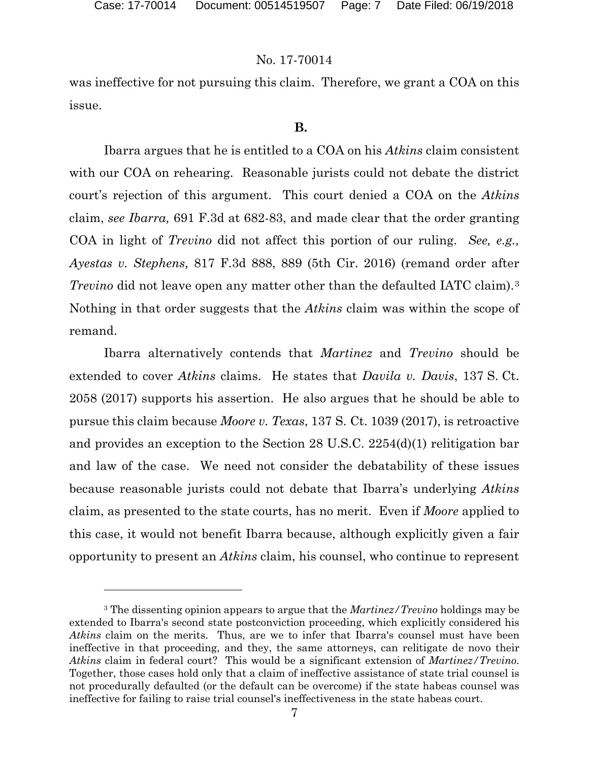### No. 17-70014

was ineffective for not pursuing this claim. Therefore, we grant a COA on this issue.

#### **B.**

Ibarra argues that he is entitled to a COA on his *Atkins* claim consistent with our COA on rehearing. Reasonable jurists could not debate the district court's rejection of this argument. This court denied a COA on the *Atkins* claim, *see Ibarra,* 691 F.3d at 682-83, and made clear that the order granting COA in light of *Trevino* did not affect this portion of our ruling. *See, e.g., Ayestas v. Stephens,* 817 F.3d 888, 889 (5th Cir. 2016) (remand order after *Trevino* did not leave open any matter other than the defaulted IATC claim).<sup>[3](#page-6-0)</sup> Nothing in that order suggests that the *Atkins* claim was within the scope of remand.

Ibarra alternatively contends that *Martinez* and *Trevino* should be extended to cover *Atkins* claims. He states that *Davila v. Davis*, 137 S. Ct. 2058 (2017) supports his assertion. He also argues that he should be able to pursue this claim because *Moore v. Texas*, 137 S. Ct. 1039 (2017), is retroactive and provides an exception to the Section 28 U.S.C. 2254(d)(1) relitigation bar and law of the case. We need not consider the debatability of these issues because reasonable jurists could not debate that Ibarra's underlying *Atkins*  claim, as presented to the state courts, has no merit. Even if *Moore* applied to this case, it would not benefit Ibarra because, although explicitly given a fair opportunity to present an *Atkins* claim, his counsel, who continue to represent

<span id="page-6-0"></span><sup>3</sup> The dissenting opinion appears to argue that the *Martinez/Trevino* holdings may be extended to Ibarra's second state postconviction proceeding, which explicitly considered his *Atkins* claim on the merits. Thus, are we to infer that Ibarra's counsel must have been ineffective in that proceeding, and they, the same attorneys, can relitigate de novo their *Atkins* claim in federal court? This would be a significant extension of *Martinez/Trevino*. Together, those cases hold only that a claim of ineffective assistance of state trial counsel is not procedurally defaulted (or the default can be overcome) if the state habeas counsel was ineffective for failing to raise trial counsel's ineffectiveness in the state habeas court.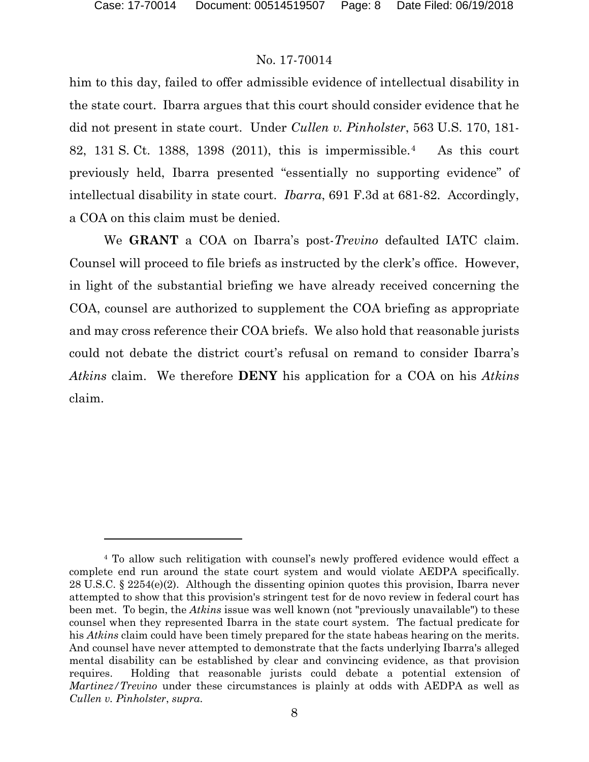### No. 17-70014

him to this day, failed to offer admissible evidence of intellectual disability in the state court. Ibarra argues that this court should consider evidence that he did not present in state court. Under *Cullen v. Pinholster*, 563 U.S. 170, 181- 82, 131 S. Ct. 1388, 1398 (2011), this is impermissible.[4](#page-7-0) As this court previously held, Ibarra presented "essentially no supporting evidence" of intellectual disability in state court. *Ibarra*, 691 F.3d at 681-82. Accordingly, a COA on this claim must be denied.

We **GRANT** a COA on Ibarra's post-*Trevino* defaulted IATC claim. Counsel will proceed to file briefs as instructed by the clerk's office. However, in light of the substantial briefing we have already received concerning the COA, counsel are authorized to supplement the COA briefing as appropriate and may cross reference their COA briefs. We also hold that reasonable jurists could not debate the district court's refusal on remand to consider Ibarra's *Atkins* claim. We therefore **DENY** his application for a COA on his *Atkins*  claim.

<span id="page-7-0"></span><sup>4</sup> To allow such relitigation with counsel's newly proffered evidence would effect a complete end run around the state court system and would violate AEDPA specifically. 28 U.S.C. § 2254(e)(2). Although the dissenting opinion quotes this provision, Ibarra never attempted to show that this provision's stringent test for de novo review in federal court has been met. To begin, the *Atkins* issue was well known (not "previously unavailable") to these counsel when they represented Ibarra in the state court system. The factual predicate for his *Atkins* claim could have been timely prepared for the state habeas hearing on the merits. And counsel have never attempted to demonstrate that the facts underlying Ibarra's alleged mental disability can be established by clear and convincing evidence, as that provision requires. Holding that reasonable jurists could debate a potential extension of *Martinez/Trevino* under these circumstances is plainly at odds with AEDPA as well as *Cullen v. Pinholster*, *supra*.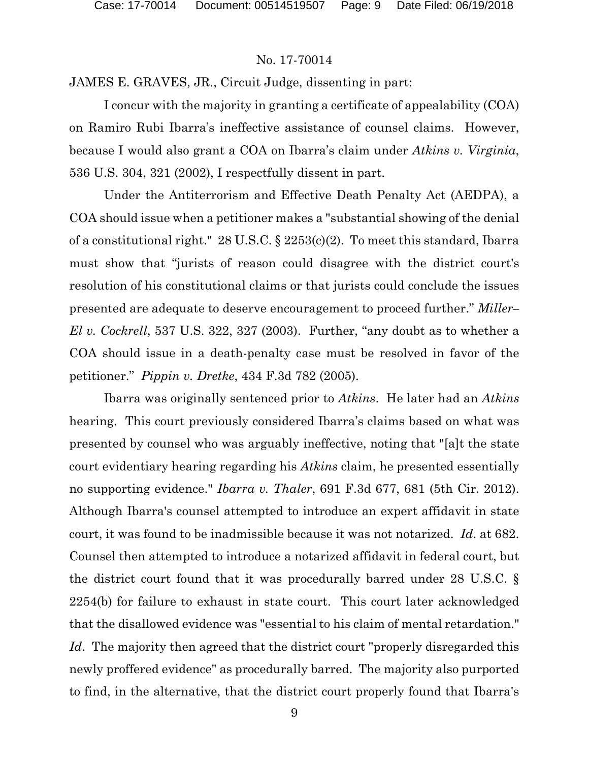JAMES E. GRAVES, JR., Circuit Judge, dissenting in part:

I concur with the majority in granting a certificate of appealability (COA) on Ramiro Rubi Ibarra's ineffective assistance of counsel claims. However, because I would also grant a COA on Ibarra's claim under *Atkins v. Virginia*, 536 U.S. 304, 321 (2002), I respectfully dissent in part.

Under the Antiterrorism and Effective Death Penalty Act (AEDPA), a COA should issue when a petitioner makes a "substantial showing of the denial of a constitutional right." 28 U.S.C. § 2253(c)(2). To meet this standard, Ibarra must show that "jurists of reason could disagree with the district court's resolution of his constitutional claims or that jurists could conclude the issues presented are adequate to deserve encouragement to proceed further." *Miller– El v. Cockrell*, 537 U.S. 322, 327 (2003). Further, "any doubt as to whether a COA should issue in a death-penalty case must be resolved in favor of the petitioner." *Pippin v. Dretke*, 434 F.3d 782 (2005).

Ibarra was originally sentenced prior to *Atkins*. He later had an *Atkins* hearing. This court previously considered Ibarra's claims based on what was presented by counsel who was arguably ineffective, noting that "[a]t the state court evidentiary hearing regarding his *Atkins* claim, he presented essentially no supporting evidence." *Ibarra v. Thaler*, 691 F.3d 677, 681 (5th Cir. 2012). Although Ibarra's counsel attempted to introduce an expert affidavit in state court, it was found to be inadmissible because it was not notarized. *Id*. at 682. Counsel then attempted to introduce a notarized affidavit in federal court, but the district court found that it was procedurally barred under 28 U.S.C. § 2254(b) for failure to exhaust in state court. This court later acknowledged that the disallowed evidence was "essential to his claim of mental retardation." *Id*. The majority then agreed that the district court "properly disregarded this newly proffered evidence" as procedurally barred. The majority also purported to find, in the alternative, that the district court properly found that Ibarra's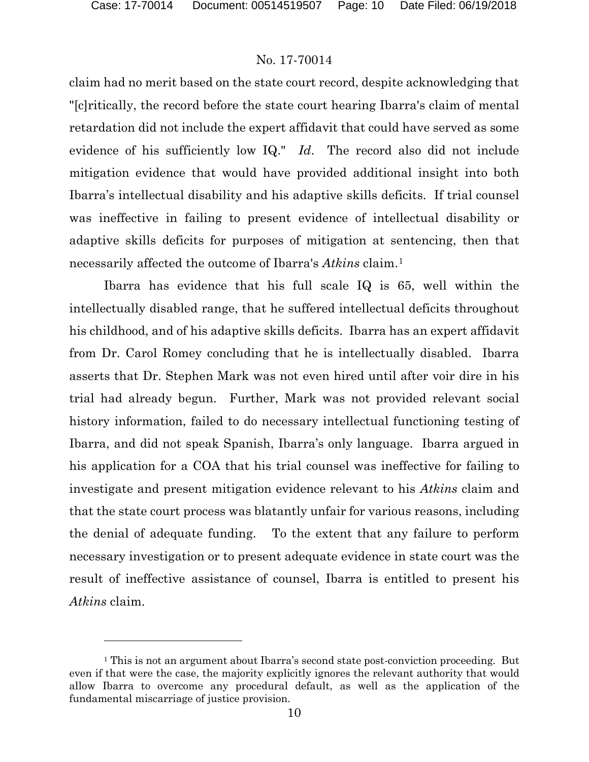### No. 17-70014

claim had no merit based on the state court record, despite acknowledging that "[c]ritically, the record before the state court hearing Ibarra's claim of mental retardation did not include the expert affidavit that could have served as some evidence of his sufficiently low IQ." *Id*. The record also did not include mitigation evidence that would have provided additional insight into both Ibarra's intellectual disability and his adaptive skills deficits. If trial counsel was ineffective in failing to present evidence of intellectual disability or adaptive skills deficits for purposes of mitigation at sentencing, then that necessarily affected the outcome of Ibarra's *Atkins* claim[.1](#page-9-0)

Ibarra has evidence that his full scale IQ is 65, well within the intellectually disabled range, that he suffered intellectual deficits throughout his childhood, and of his adaptive skills deficits. Ibarra has an expert affidavit from Dr. Carol Romey concluding that he is intellectually disabled. Ibarra asserts that Dr. Stephen Mark was not even hired until after voir dire in his trial had already begun. Further, Mark was not provided relevant social history information, failed to do necessary intellectual functioning testing of Ibarra, and did not speak Spanish, Ibarra's only language. Ibarra argued in his application for a COA that his trial counsel was ineffective for failing to investigate and present mitigation evidence relevant to his *Atkins* claim and that the state court process was blatantly unfair for various reasons, including the denial of adequate funding. To the extent that any failure to perform necessary investigation or to present adequate evidence in state court was the result of ineffective assistance of counsel, Ibarra is entitled to present his *Atkins* claim.

<span id="page-9-0"></span><sup>&</sup>lt;sup>1</sup> This is not an argument about Ibarra's second state post-conviction proceeding. But even if that were the case, the majority explicitly ignores the relevant authority that would allow Ibarra to overcome any procedural default, as well as the application of the fundamental miscarriage of justice provision.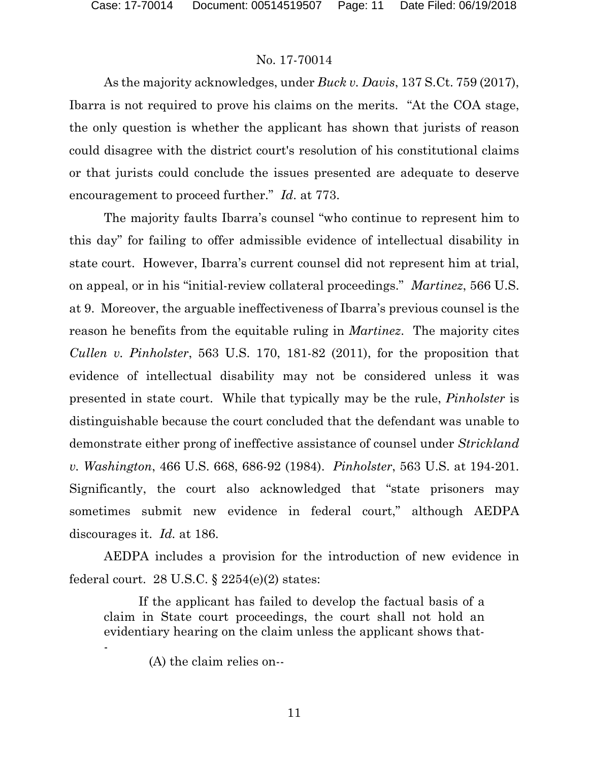As the majority acknowledges, under *Buck v. Davis*, 137 S.Ct. 759 (2017), Ibarra is not required to prove his claims on the merits. "At the COA stage, the only question is whether the applicant has shown that jurists of reason could disagree with the district court's resolution of his constitutional claims or that jurists could conclude the issues presented are adequate to deserve encouragement to proceed further." *Id*. at 773.

The majority faults Ibarra's counsel "who continue to represent him to this day" for failing to offer admissible evidence of intellectual disability in state court. However, Ibarra's current counsel did not represent him at trial, on appeal, or in his "initial-review collateral proceedings." *Martinez*, 566 U.S. at 9. Moreover, the arguable ineffectiveness of Ibarra's previous counsel is the reason he benefits from the equitable ruling in *Martinez*. The majority cites *Cullen v. Pinholster*, 563 U.S. 170, 181-82 (2011), for the proposition that evidence of intellectual disability may not be considered unless it was presented in state court. While that typically may be the rule, *Pinholster* is distinguishable because the court concluded that the defendant was unable to demonstrate either prong of ineffective assistance of counsel under *Strickland v. Washington*, 466 U.S. 668, 686-92 (1984). *Pinholster*, 563 U.S. at 194-201. Significantly, the court also acknowledged that "state prisoners may sometimes submit new evidence in federal court," although AEDPA discourages it. *Id.* at 186.

AEDPA includes a provision for the introduction of new evidence in federal court. 28 U.S.C.  $\S$  2254(e)(2) states:

If the applicant has failed to develop the factual basis of a claim in State court proceedings, the court shall not hold an evidentiary hearing on the claim unless the applicant shows that- -

(A) the claim relies on--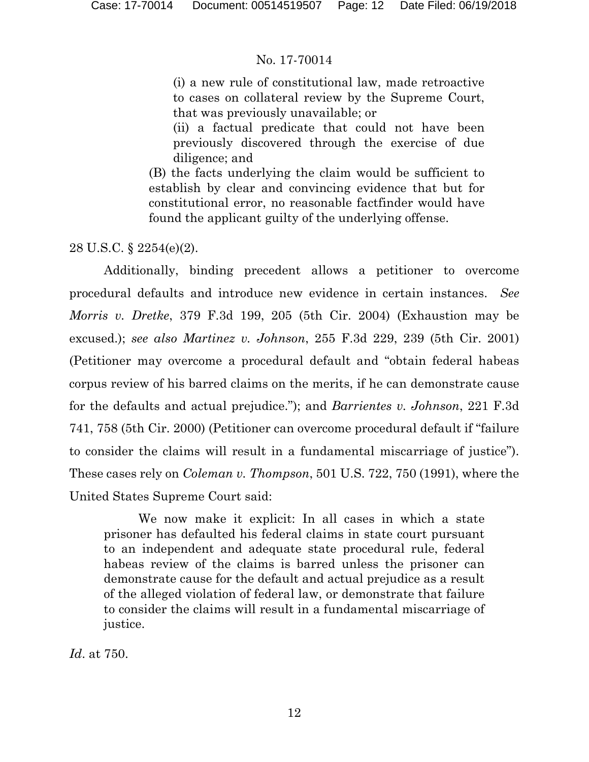(i) a new rule of constitutional law, made retroactive to cases on collateral review by the Supreme Court, that was previously unavailable; or

(ii) a factual predicate that could not have been previously discovered through the exercise of due diligence; and

(B) the facts underlying the claim would be sufficient to establish by clear and convincing evidence that but for constitutional error, no reasonable factfinder would have found the applicant guilty of the underlying offense.

28 U.S.C. § 2254(e)(2).

Additionally, binding precedent allows a petitioner to overcome procedural defaults and introduce new evidence in certain instances. *See Morris v. Dretke*, 379 F.3d 199, 205 (5th Cir. 2004) (Exhaustion may be excused.); *see also Martinez v. Johnson*, 255 F.3d 229, 239 (5th Cir. 2001) (Petitioner may overcome a procedural default and "obtain federal habeas corpus review of his barred claims on the merits, if he can demonstrate cause for the defaults and actual prejudice."); and *Barrientes v. Johnson*, 221 F.3d 741, 758 (5th Cir. 2000) (Petitioner can overcome procedural default if "failure to consider the claims will result in a fundamental miscarriage of justice"). These cases rely on *Coleman v. Thompson*, 501 U.S. 722, 750 (1991), where the United States Supreme Court said:

We now make it explicit: In all cases in which a state prisoner has defaulted his federal claims in state court pursuant to an independent and adequate state procedural rule, federal habeas review of the claims is barred unless the prisoner can demonstrate cause for the default and actual prejudice as a result of the alleged violation of federal law, or demonstrate that failure to consider the claims will result in a fundamental miscarriage of justice.

*Id*. at 750.